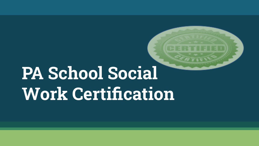# **PA School Social Work Certification**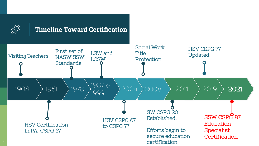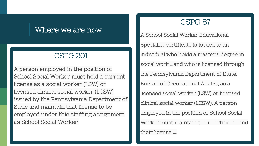#### Where we are now

#### CSPG 201

A person employed in the position of School Social Worker must hold a current license as a social worker (LSW) or licensed clinical social worker (LCSW) issued by the Pennsylvania Department of State and maintain that license to be employed under this staffing assignment as School Social Worker.

#### CSPG 87

A School Social Worker Educational Specialist certificate is issued to an individual who holds a master's degree in social work …and who is licensed through the Pennsylvania Department of State, Bureau of Occupational Affairs, as a licensed social worker (LSW) or licensed clinical social worker (LCSW). A person employed in the position of School Social Worker must maintain their certificate and their license ….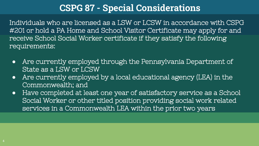# **CSPG 87 - Special Considerations**

Individuals who are licensed as a LSW or LCSW in accordance with CSPG #201 or hold a PA Home and School Visitor Certificate may apply for and receive School Social Worker certificate if they satisfy the following requirements:

- **●** Are currently employed through the Pennsylvania Department of State as a LSW or LCSW
- **●** Are currently employed by a local educational agency (LEA) in the Commonwealth; and
- **●** Have completed at least one year of satisfactory service as a School Social Worker or other titled position providing social work related services in a Commonwealth LEA within the prior two years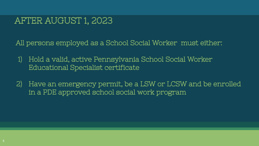## AFTER AUGUST 1, 2023

All persons employed as a School Social Worker must either:

- 1) Hold a valid, active Pennsylvania School Social Worker Educational Specialist certificate
- 2) Have an emergency permit, be a LSW or LCSW and be enrolled in a PDE approved school social work program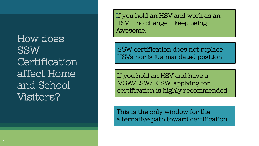How does SSW **Certification** affect Home and School Visitors?

If you hold an HSV and work as an HSV - no change - keep being Awesome!

SSW certification does not replace HSVs nor is it a mandated position

If you hold an HSV and have a MSW/LSW/LCSW, applying for certification is highly recommended

This is the only window for the alternative path toward certification.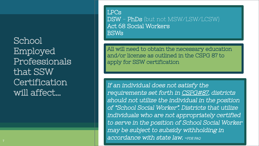School Employed Professionals that SSW **Certification** will affect…

LPCs DSW - PhDs (but not MSW/LSW/LCSW) Act 68 Social Workers BSWs

All will need to obtain the necessary education and/or license as outlined in the CSPG 87 to apply for SSW certification

If an individual does not satisfy the requirements set forth in [CSPG#87](https://www.education.pa.gov/Educators/Certification/Staffing%20Guidelines/Pages/CSPG87.aspx), districts should not utilize the individual in the position of "School Social Worker". Districts that utilize individuals who are not appropriately certified to serve in the position of School Social Worker may be subject to subsidy withholding in accordance with state law. ~PDE FAQ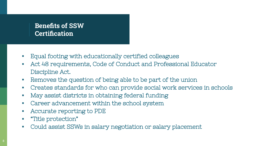#### **Benefits of SSW Certification**

- **▪** Equal footing with educationally certified colleagues
- **▪** Act 48 requirements, Code of Conduct and Professional Educator Discipline Act.
- **▪** Removes the question of being able to be part of the union
- **▪** Creates standards for who can provide social work services in schools
- **▪** May assist districts in obtaining federal funding
- **▪** Career advancement within the school system
- **▪** Accurate reporting to PDE
- **▪** "Title protection"
- **▪** Could assist SSWs in salary negotiation or salary placement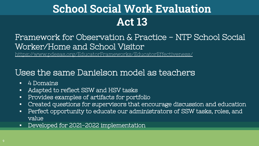# **School Social Work Evaluation Act 13**

### Framework for Observation & Practice - NTP School Social Worker/Home and School Visitor

<https://www.pdesas.org/EducatorFrameworks/EducatorEffectiveness/>

#### Uses the same Danielson model as teachers

- **▪** 4 Domains
- **▪** Adapted to reflect SSW and HSV tasks
- **▪** Provides examples of artifacts for portfolio
- **▪** Created questions for supervisors that encourage discussion and education
- **▪** Perfect opportunity to educate our administrators of SSW tasks, roles, and value
- **▪** Developed for 2021-2022 implementation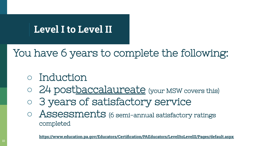# **Level I to Level II**

# You have 6 years to complete the following:

# **○** Induction

- 24 postbaccalaureate (your MSW covers this)
- **○** 3 years of satisfactory service
- **○** Assessments (6 semi-annual satisfactory ratings completed

**<https://www.education.pa.gov/Educators/Certification/PAEducators/LevelItoLevelII/Pages/default.aspx>**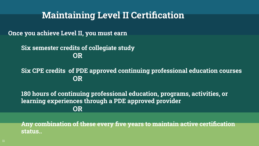## **Maintaining Level II Certification**

**Once you achieve Level II, you must earn**

**Six semester credits of collegiate study OR**

**Six CPE credits of PDE approved continuing professional education courses OR**

**180 hours of continuing professional education, programs, activities, or learning experiences through a PDE approved provider OR**

**Any combination of these every five years to maintain active certification status..**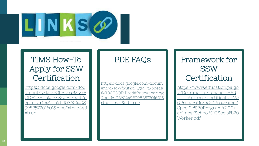

#### TIMS How-To Apply for SSW **Certification**

[https://docs.google.com/doc](https://docs.google.com/document/d/1a0GOh80caBXdGFODHTX-_uQGSyXglFIj/edit?usp=sharing&ouid=103624498998357201601&rtpof=true&sd=true) [ument/d/1a0GOh80caBXdGF](https://docs.google.com/document/d/1a0GOh80caBXdGFODHTX-_uQGSyXglFIj/edit?usp=sharing&ouid=103624498998357201601&rtpof=true&sd=true) [ODHTX-\\_uQGSyXglFIj/edit?u](https://docs.google.com/document/d/1a0GOh80caBXdGFODHTX-_uQGSyXglFIj/edit?usp=sharing&ouid=103624498998357201601&rtpof=true&sd=true) [sp=sharing&ouid=103624498](https://docs.google.com/document/d/1a0GOh80caBXdGFODHTX-_uQGSyXglFIj/edit?usp=sharing&ouid=103624498998357201601&rtpof=true&sd=true) [998357201601&rtpof=true&sd](https://docs.google.com/document/d/1a0GOh80caBXdGFODHTX-_uQGSyXglFIj/edit?usp=sharing&ouid=103624498998357201601&rtpof=true&sd=true) [=true](https://docs.google.com/document/d/1a0GOh80caBXdGFODHTX-_uQGSyXglFIj/edit?usp=sharing&ouid=103624498998357201601&rtpof=true&sd=true)

#### PDE FAQs

[https://docs.google.com/docum](https://docs.google.com/document/d/1dWf9uf2oFJgM_t96neaaiMlO0C3QDiI1/edit?usp=sharing&ouid=103624498998357201601&rtpof=true&sd=true) [ent/d/1dWf9uf2oFJgM\\_t96neaa](https://docs.google.com/document/d/1dWf9uf2oFJgM_t96neaaiMlO0C3QDiI1/edit?usp=sharing&ouid=103624498998357201601&rtpof=true&sd=true) [iMlO0C3QDiI1/edit?usp=sharing](https://docs.google.com/document/d/1dWf9uf2oFJgM_t96neaaiMlO0C3QDiI1/edit?usp=sharing&ouid=103624498998357201601&rtpof=true&sd=true) [&ouid=103624498998357201601&](https://docs.google.com/document/d/1dWf9uf2oFJgM_t96neaaiMlO0C3QDiI1/edit?usp=sharing&ouid=103624498998357201601&rtpof=true&sd=true) [rtpof=true&sd=true](https://docs.google.com/document/d/1dWf9uf2oFJgM_t96neaaiMlO0C3QDiI1/edit?usp=sharing&ouid=103624498998357201601&rtpof=true&sd=true)

#### Framework for SSW Certification

[https://www.education.pa.go](https://www.education.pa.gov/Documents/Teachers-Administrators/Certification%20Preparation%20Programs/Specific%20Program%20Guidelines/School%20Social%20Worker.pdf) [v/Documents/Teachers-Ad](https://www.education.pa.gov/Documents/Teachers-Administrators/Certification%20Preparation%20Programs/Specific%20Program%20Guidelines/School%20Social%20Worker.pdf) [ministrators/Certification%2](https://www.education.pa.gov/Documents/Teachers-Administrators/Certification%20Preparation%20Programs/Specific%20Program%20Guidelines/School%20Social%20Worker.pdf) [0Preparation%20Programs/](https://www.education.pa.gov/Documents/Teachers-Administrators/Certification%20Preparation%20Programs/Specific%20Program%20Guidelines/School%20Social%20Worker.pdf) [Specific%20Program%20Gui](https://www.education.pa.gov/Documents/Teachers-Administrators/Certification%20Preparation%20Programs/Specific%20Program%20Guidelines/School%20Social%20Worker.pdf) [delines/School%20Social%20](https://www.education.pa.gov/Documents/Teachers-Administrators/Certification%20Preparation%20Programs/Specific%20Program%20Guidelines/School%20Social%20Worker.pdf) [Worker.pdf](https://www.education.pa.gov/Documents/Teachers-Administrators/Certification%20Preparation%20Programs/Specific%20Program%20Guidelines/School%20Social%20Worker.pdf)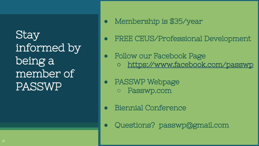Stay informed by being a member of PASSWP

- **●** Membership is \$35/year
- **●** FREE CEUS/Professional Development
- **●** Follow our Facebook Page
	- **○** <https://www.facebook.com/passwp>
- **●** PASSWP Webpage **○** Passwp.com
- **●** Biennial Conference
- **●** Questions? passwp@gmail.com